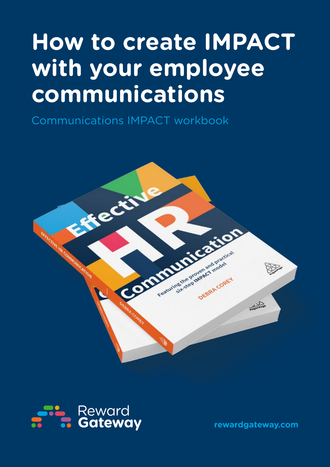# **How to create IMPACT with your employee communications**

Communications IMPACT workbook





**rewardgateway.com**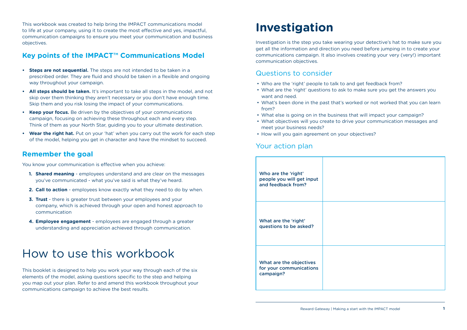This workbook was created to help bring the IMPACT communications model to life at your company, using it to create the most effective and yes, impactful, communication campaigns to ensure you meet your communication and business objectives.

#### **Key points of the IMPACT™ Communications Model**

- **• Steps are not sequential.** The steps are not intended to be taken in a prescribed order. They are fluid and should be taken in a flexible and ongoing way throughout your campaign.
- **• All steps should be taken.** It's important to take all steps in the model, and not skip over them thinking they aren't necessary or you don't have enough time. Skip them and you risk losing the impact of your communications.
- **• Keep your focus.** Be driven by the objectives of your communications campaign, focusing on achieving these throughout each and every step. Think of them as your North Star, guiding you to your ultimate destination.
- **• Wear the right hat.** Put on your 'hat' when you carry out the work for each step of the model, helping you get in character and have the mindset to succeed.

#### **Remember the goal**

You know your communication is effective when you achieve:

- **1. Shared meaning** employees understand and are clear on the messages you've communicated - what you've said is what they've heard.
- **2. Call to action** employees know exactly what they need to do by when.
- **3. Trust** there is greater trust between your employees and your company, which is achieved through your open and honest approach to communication
- **4. Employee engagement** employees are engaged through a greater understanding and appreciation achieved through communication.

## How to use this workbook

This booklet is designed to help you work your way through each of the six elements of the model, asking questions specific to the step and helping you map out your plan. Refer to and amend this workbook throughout your communications campaign to achieve the best results.

## **Investigation**

Investigation is the step you take wearing your detective's hat to make sure you get all the information and direction you need before jumping in to create your communications campaign. It also involves creating your very (very!) important communication objectives.

#### Questions to consider

- Who are the 'right' people to talk to and get feedback from?
- What are the 'right' questions to ask to make sure you get the answers you want and need.
- What's been done in the past that's worked or not worked that you can learn from?
- What else is going on in the business that will impact your campaign?
- What objectives will you create to drive your communication messages and meet your business needs?
- How will you gain agreement on your objectives?

#### Your action plan

| Who are the 'right'<br>people you will get input<br>and feedback from? |  |
|------------------------------------------------------------------------|--|
| What are the 'right'<br>questions to be asked?                         |  |
| What are the objectives<br>for your communications<br>campaign?        |  |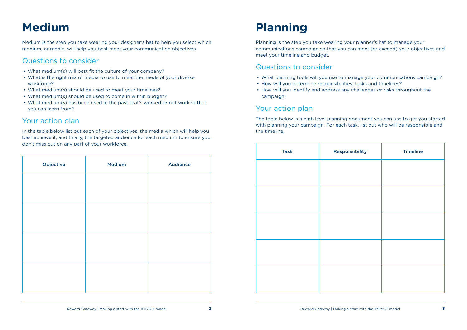## **Medium**

Medium is the step you take wearing your designer's hat to help you select which medium, or media, will help you best meet your communication objectives.

#### Questions to consider

- What medium(s) will best fit the culture of your company?
- What is the right mix of media to use to meet the needs of your diverse workforce?
- What medium(s) should be used to meet your timelines?
- What medium(s) should be used to come in within budget?
- What medium(s) has been used in the past that's worked or not worked that you can learn from?

#### Your action plan

In the table below list out each of your objectives, the media which will help you best achieve it, and finally, the targeted audience for each medium to ensure you don't miss out on any part of your workforce.

| Objective | <b>Medium</b> | <b>Audience</b> |
|-----------|---------------|-----------------|
|           |               |                 |
|           |               |                 |
|           |               |                 |
|           |               |                 |
|           |               |                 |
|           |               |                 |
|           |               |                 |
|           |               |                 |

## **Planning**

Planning is the step you take wearing your planner's hat to manage your communications campaign so that you can meet (or exceed) your objectives and meet your timeline and budget.

#### Questions to consider

- What planning tools will you use to manage your communications campaign?
- How will you determine responsibilities, tasks and timelines?
- How will you identify and address any challenges or risks throughout the campaign?

#### Your action plan

The table below is a high level planning document you can use to get you started with planning your campaign. For each task, list out who will be responsible and the timeline.

| Responsibility | <b>Timeline</b> |
|----------------|-----------------|
|                |                 |
|                |                 |
|                |                 |
|                |                 |
|                |                 |
|                |                 |
|                |                 |
|                |                 |
|                |                 |
|                |                 |
|                |                 |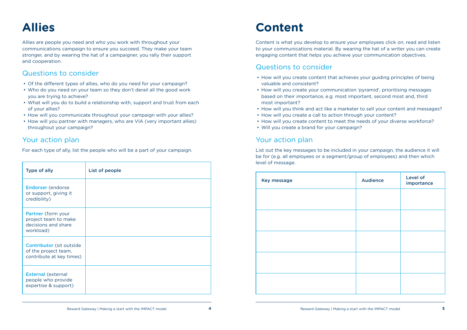## **Allies**

Allies are people you need and who you work with throughout your communications campaign to ensure you succeed. They make your team stronger, and by wearing the hat of a campaigner, you rally their support and cooperation.

### Questions to consider

- Of the different types of allies, who do you need for your campaign?
- Who do you need on your team so they don't derail all the good work you are trying to achieve?
- What will you do to build a relationship with, support and trust from each of your allies?
- How will you communicate throughout your campaign with your allies?
- How will you partner with managers, who are VIA (very important allies) throughout your campaign?

### Your action plan

For each type of ally, list the people who will be a part of your campaign.

| <b>Type of ally</b>                                                                 | List of people |
|-------------------------------------------------------------------------------------|----------------|
| <b>Endorser</b> (endorse<br>or support, giving it<br>credibility)                   |                |
| Partner (form your<br>project team to make<br>decisions and share<br>workload)      |                |
| <b>Contributor</b> (sit outside<br>of the project team,<br>contribute at key times) |                |
| <b>External (external</b><br>people who provide<br>expertise & support)             |                |

## **Content**

Content is what you develop to ensure your employees click on, read and listen to your communications material. By wearing the hat of a writer you can create engaging content that helps you achieve your communication objectives.

### Questions to consider

- How will you create content that achieves your guiding principles of being valuable and consistent?
- How will you create your communication 'pyramid', prioritising messages based on their importance, e.g. most important, second most and, third most important?
- 
- 
- 
- How will you think and act like a marketer to sell your content and messages? • How will you create a call to action through your content? • How will you create content to meet the needs of your diverse workforce? • Will you create a brand for your campaign?

### Your action plan

List out the key messages to be included in your campaign, the audience it will be for (e.g. all employees or a segment/group of employees) and then which level of message.

| Key message | <b>Audience</b> | <b>Level of</b><br>importar |
|-------------|-----------------|-----------------------------|
|             |                 |                             |
|             |                 |                             |
|             |                 |                             |
|             |                 |                             |
|             |                 |                             |
|             |                 |                             |
|             |                 |                             |

| <b>Audience</b> | <b>Level of</b><br>importance |
|-----------------|-------------------------------|
|                 |                               |
|                 |                               |
|                 |                               |
|                 |                               |
|                 |                               |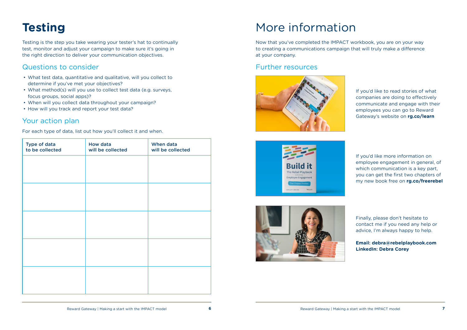## **Testing**

Testing is the step you take wearing your tester's hat to continually test, monitor and adjust your campaign to make sure it's going in the right direction to deliver your communication objectives.

### Questions to consider

- What test data, quantitative and qualitative, will you collect to determine if you've met your objectives?
- What method(s) will you use to collect test data (e.g. surveys, focus groups, social apps)?
- When will you collect data throughout your campaign?
- How will you track and report your test data?

### Your action plan

For each type of data, list out how you'll collect it and when.

| Type of data<br>to be collected | How data<br>will be collected | When data<br>will be collected |
|---------------------------------|-------------------------------|--------------------------------|
|                                 |                               |                                |
|                                 |                               |                                |
|                                 |                               |                                |
|                                 |                               |                                |
|                                 |                               |                                |
|                                 |                               |                                |
|                                 |                               |                                |
|                                 |                               |                                |
|                                 |                               |                                |
|                                 |                               |                                |

## More information

Now that you've completed the IMPACT workbook, you are on your way to creating a communications campaign that will truly make a difference at your company.

#### Further resources







If you'd like to read stories of what companies are doing to effectively communicate and engage with their employees you can go to Reward Gateway's website on **rg.co/learn**

If you'd like more information on employee engagement in general, of which communication is a key part, you can get the first two chapters of my new book free on **rg.co/freerebel**

Finally, please don't hesitate to contact me if you need any help or advice, I'm always happy to help.

**Email: debra@rebelplaybook.com LinkedIn: Debra Corey**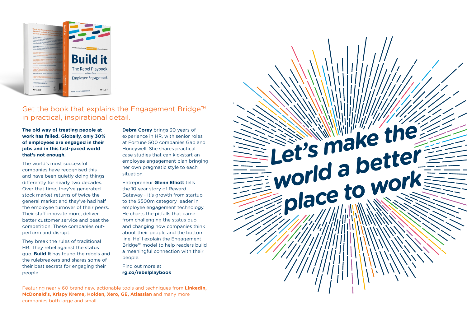**The old way of treating people at work has failed. Globally, only 30% of employees are engaged in their jobs and in this fast-paced world that's not enough.**

The world's most successful companies have recognised this and have been quietly doing things differently for nearly two decades. Over that time, they've generated stock market returns of twice the general market and they've had half the employee turnover of their peers. Their staff innovate more, deliver better customer service and beat the competition. These companies outperform and disrupt.

They break the rules of traditional HR. They rebel against the status quo. **Build It** has found the rebels and the rulebreakers and shares some of their best secrets for engaging their people.



### Get the book that explains the Engagement Bridge™ in practical, inspirational detail.

**Debra Corey** brings 30 years of experience in HR, with senior roles at Fortune 500 companies Gap and Honeywell. She shares practical case studies that can kickstart an employee engagement plan bringing her own pragmatic style to each situation.

Entrepreneur **Glenn Elliott** tells the 10 year story of Reward Gateway - it's growth from startup to the \$500m category leader in employee engagement technology. He charts the pitfalls that came from challenging the status quo and changing how companies think about their people and the bottom line. He'll explain the Engagement Bridge™ model to help readers build a meaningful connection with their people.

Find out more at **rg.co/rebelplaybook**

Featuring nearly 60 brand new, actionable tools and techniques from **LinkedIn, McDonald's, Krispy Kreme, Holden, Xero, GE, Atlassian** and many more companies both large and small.